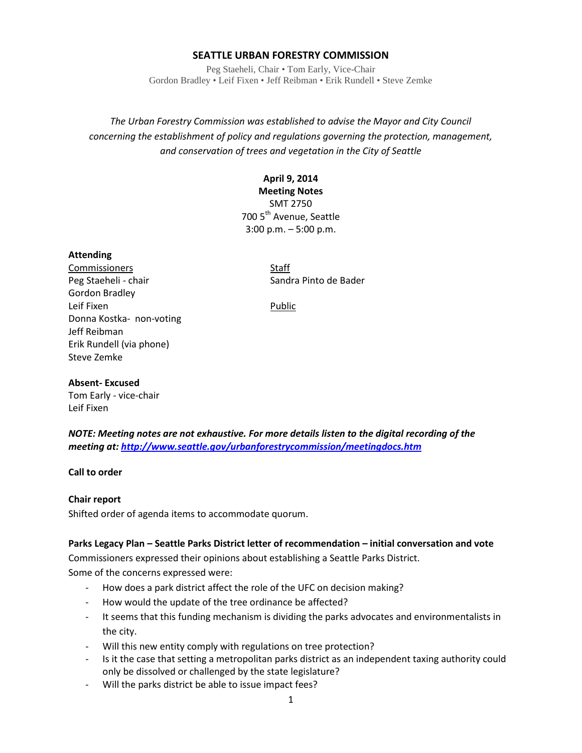## **SEATTLE URBAN FORESTRY COMMISSION**

Peg Staeheli, Chair • Tom Early, Vice-Chair Gordon Bradley • Leif Fixen • Jeff Reibman • Erik Rundell • Steve Zemke

*The Urban Forestry Commission was established to advise the Mayor and City Council concerning the establishment of policy and regulations governing the protection, management, and conservation of trees and vegetation in the City of Seattle*

# **April 9, 2014**

**Meeting Notes** SMT 2750 700 5<sup>th</sup> Avenue, Seattle 3:00 p.m. – 5:00 p.m.

#### **Attending**

Commissioners Staff Peg Staeheli - chair Sandra Pinto de Bader Gordon Bradley Leif Fixen **Public** Donna Kostka- non-voting Jeff Reibman Erik Rundell (via phone) Steve Zemke

#### **Absent- Excused**

Tom Early - vice-chair Leif Fixen

*NOTE: Meeting notes are not exhaustive. For more details listen to the digital recording of the meeting at[: http://www.seattle.gov/urbanforestrycommission/meetingdocs.htm](http://www.seattle.gov/urbanforestrycommission/meetingdocs.htm)*

#### **Call to order**

#### **Chair report**

Shifted order of agenda items to accommodate quorum.

#### **Parks Legacy Plan – Seattle Parks District letter of recommendation – initial conversation and vote**

Commissioners expressed their opinions about establishing a Seattle Parks District.

Some of the concerns expressed were:

- How does a park district affect the role of the UFC on decision making?
- How would the update of the tree ordinance be affected?
- It seems that this funding mechanism is dividing the parks advocates and environmentalists in the city.
- Will this new entity comply with regulations on tree protection?
- Is it the case that setting a metropolitan parks district as an independent taxing authority could only be dissolved or challenged by the state legislature?
- Will the parks district be able to issue impact fees?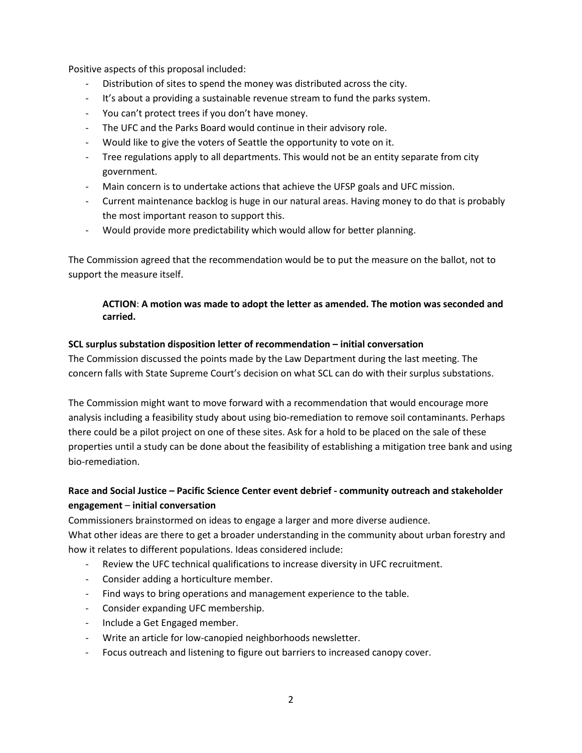Positive aspects of this proposal included:

- Distribution of sites to spend the money was distributed across the city.
- It's about a providing a sustainable revenue stream to fund the parks system.
- You can't protect trees if you don't have money.
- The UFC and the Parks Board would continue in their advisory role.
- Would like to give the voters of Seattle the opportunity to vote on it.
- Tree regulations apply to all departments. This would not be an entity separate from city government.
- Main concern is to undertake actions that achieve the UFSP goals and UFC mission.
- Current maintenance backlog is huge in our natural areas. Having money to do that is probably the most important reason to support this.
- Would provide more predictability which would allow for better planning.

The Commission agreed that the recommendation would be to put the measure on the ballot, not to support the measure itself.

# **ACTION**: **A motion was made to adopt the letter as amended. The motion was seconded and carried.**

#### **SCL surplus substation disposition letter of recommendation – initial conversation**

The Commission discussed the points made by the Law Department during the last meeting. The concern falls with State Supreme Court's decision on what SCL can do with their surplus substations.

The Commission might want to move forward with a recommendation that would encourage more analysis including a feasibility study about using bio-remediation to remove soil contaminants. Perhaps there could be a pilot project on one of these sites. Ask for a hold to be placed on the sale of these properties until a study can be done about the feasibility of establishing a mitigation tree bank and using bio-remediation.

# **Race and Social Justice – Pacific Science Center event debrief - community outreach and stakeholder engagement** – **initial conversation**

Commissioners brainstormed on ideas to engage a larger and more diverse audience.

What other ideas are there to get a broader understanding in the community about urban forestry and how it relates to different populations. Ideas considered include:

- Review the UFC technical qualifications to increase diversity in UFC recruitment.
- Consider adding a horticulture member.
- Find ways to bring operations and management experience to the table.
- Consider expanding UFC membership.
- Include a Get Engaged member.
- Write an article for low-canopied neighborhoods newsletter.
- Focus outreach and listening to figure out barriers to increased canopy cover.